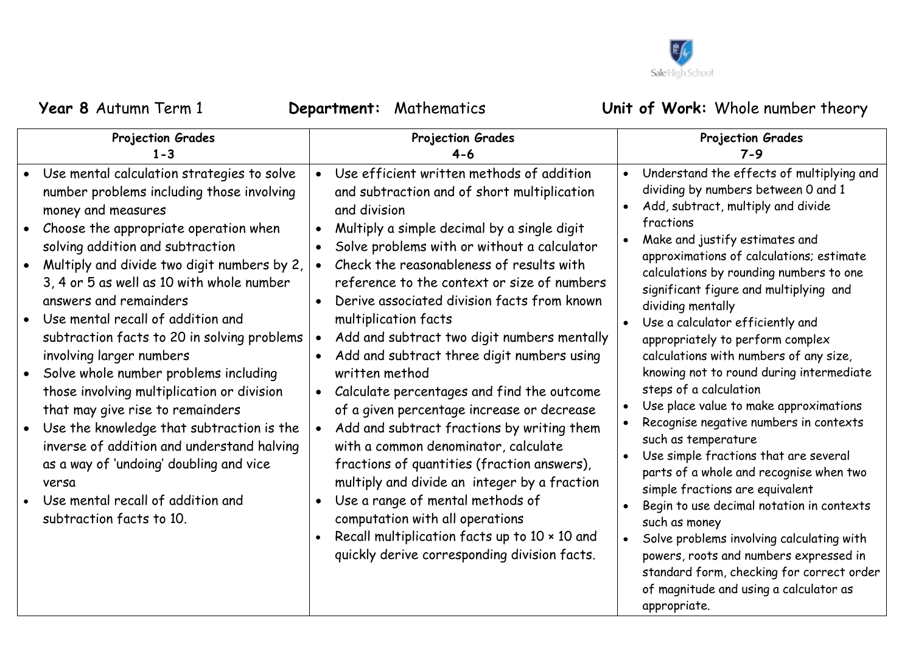

of magnitude and using a calculator as

appropriate.

| <b>Projection Grades</b>                                                                                                                                                                                                                                                                                                                                                                                                                                                                                                                                                                                                                                                                                                                                                    | Projection Grades                                                                                                                                                                                                                                                                                                                                                                                                                                                                                                                                                                                                                                                                                                                                                                                                                                                                                                                                                                                                              | <b>Projection Grades</b>                                                                                                                                                                                                                                                                                                                                                                                                                                                                                                                                                                                                                                                                                                                                                                                                                                                                                                                                                                                                                           |
|-----------------------------------------------------------------------------------------------------------------------------------------------------------------------------------------------------------------------------------------------------------------------------------------------------------------------------------------------------------------------------------------------------------------------------------------------------------------------------------------------------------------------------------------------------------------------------------------------------------------------------------------------------------------------------------------------------------------------------------------------------------------------------|--------------------------------------------------------------------------------------------------------------------------------------------------------------------------------------------------------------------------------------------------------------------------------------------------------------------------------------------------------------------------------------------------------------------------------------------------------------------------------------------------------------------------------------------------------------------------------------------------------------------------------------------------------------------------------------------------------------------------------------------------------------------------------------------------------------------------------------------------------------------------------------------------------------------------------------------------------------------------------------------------------------------------------|----------------------------------------------------------------------------------------------------------------------------------------------------------------------------------------------------------------------------------------------------------------------------------------------------------------------------------------------------------------------------------------------------------------------------------------------------------------------------------------------------------------------------------------------------------------------------------------------------------------------------------------------------------------------------------------------------------------------------------------------------------------------------------------------------------------------------------------------------------------------------------------------------------------------------------------------------------------------------------------------------------------------------------------------------|
| $1 - 3$                                                                                                                                                                                                                                                                                                                                                                                                                                                                                                                                                                                                                                                                                                                                                                     | 4-6                                                                                                                                                                                                                                                                                                                                                                                                                                                                                                                                                                                                                                                                                                                                                                                                                                                                                                                                                                                                                            | $7 - 9$                                                                                                                                                                                                                                                                                                                                                                                                                                                                                                                                                                                                                                                                                                                                                                                                                                                                                                                                                                                                                                            |
| Use mental calculation strategies to solve<br>number problems including those involving<br>money and measures<br>Choose the appropriate operation when<br>solving addition and subtraction<br>Multiply and divide two digit numbers by 2,<br>3, 4 or 5 as well as 10 with whole number<br>answers and remainders<br>Use mental recall of addition and<br>subtraction facts to 20 in solving problems<br>involving larger numbers<br>Solve whole number problems including<br>those involving multiplication or division<br>that may give rise to remainders<br>Use the knowledge that subtraction is the<br>inverse of addition and understand halving<br>as a way of 'undoing' doubling and vice<br>versa<br>Use mental recall of addition and<br>subtraction facts to 10. | Use efficient written methods of addition<br>$\bullet$<br>and subtraction and of short multiplication<br>and division<br>Multiply a simple decimal by a single digit<br>$\bullet$<br>Solve problems with or without a calculator<br>Check the reasonableness of results with<br>reference to the context or size of numbers<br>Derive associated division facts from known<br>$\bullet$<br>multiplication facts<br>Add and subtract two digit numbers mentally<br>Add and subtract three digit numbers using<br>written method<br>Calculate percentages and find the outcome<br>$\bullet$<br>of a given percentage increase or decrease<br>Add and subtract fractions by writing them<br>with a common denominator, calculate<br>fractions of quantities (fraction answers),<br>multiply and divide an integer by a fraction<br>Use a range of mental methods of<br>$\bullet$<br>computation with all operations<br>Recall multiplication facts up to 10 x 10 and<br>$\bullet$<br>quickly derive corresponding division facts. | Understand the effects of multiplying and<br>$\bullet$<br>dividing by numbers between 0 and 1<br>Add, subtract, multiply and divide<br>$\bullet$<br>fractions<br>Make and justify estimates and<br>$\bullet$<br>approximations of calculations; estimate<br>calculations by rounding numbers to one<br>significant figure and multiplying and<br>dividing mentally<br>Use a calculator efficiently and<br>appropriately to perform complex<br>calculations with numbers of any size,<br>knowing not to round during intermediate<br>steps of a calculation<br>Use place value to make approximations<br>Recognise negative numbers in contexts<br>$\bullet$<br>such as temperature<br>Use simple fractions that are several<br>$\bullet$<br>parts of a whole and recognise when two<br>simple fractions are equivalent<br>Begin to use decimal notation in contexts<br>$\bullet$<br>such as money<br>Solve problems involving calculating with<br>$\bullet$<br>powers, roots and numbers expressed in<br>standard form, checking for correct order |